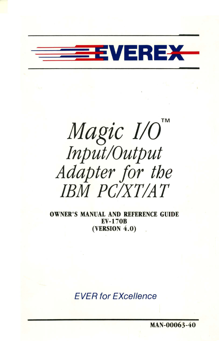

# Magic I/O *input/Output Adapter for the IBM PCIXTIAT*

OWNER'S MANUAL AND REFERENCE GUIDE EV-170B  $(VERSION 4.0)$ 

EVER for EXcellence

MAN-00063-40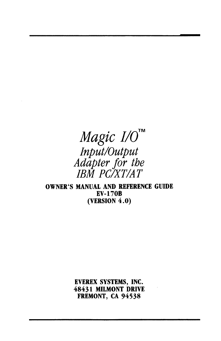## Magic I/O™ *Input/Output Adapter for the IBM PC/XT/AT*

OWNER'S MANUAL AND REFERENCE GUIDE EV-170B  $(VERSION 4.0)$ 

> EVEREX SYSTEMS, INC. 48431 MILMONT DRIVE FREMONT, CA 94538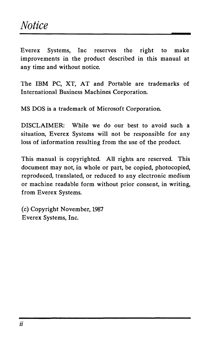Everex Systems, Inc reserves the right to make improvements in the product described in this manual at any time and without notice.

The IBM PC, XT, AT and Portable are trademarks of International Business Machines Corporation.

MS DOS is a trademark of Microsoft Corporation.

DISCLAIMER: While we do our best to avoid such a situation, Everex Systems will not be responsible for any loss of information resulting from the use of the product.

This manual is copyrighted. All rights are reserved. This document may not, in whole or part, be copied, photocopied, reproduced, translated, or reduced to any electronic medium or machine readable form without prior consent, in writing, from Everex Systems.

(c) Copyright November, 1987 Everex Systems, Inc.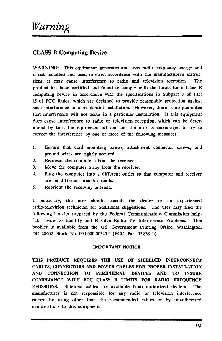#### CLASS B Computing Device

WARNING: This equipment generates and uses radio frequency energy and if not installed and used in strict accordance with the manufacturer's instructions, it may cause interference to radio and television reception. The product has been certified and found to comply with the limits for a Class B computing device in accordance with the specifications in Subpart J of Part 15 of FCC Rules, which are designed to provide reasonable protection against such interference in a residential installation. However, there is no guarantee that interference will not occur in a particular installation. If this equipment does cause interference to radio or television reception, which can be determined by turn the equipment off and on, the user is encouraged to try to correct the interference by one or more of the following measures:

- 1. Ensure that card mounting screws, attachment connector screws, and ground wires are tightly secured.
- 2. Reorient the computer about the receiver.
- 3. Move the computer away from the receiver.
- 4. Plug the computer into a different outlet so that computer and receiver are on different branch circuits.
- 5. Reorient the receiving antenna.

If necessary, the user should consult the dealer or an experienced radio/television technician for additional suggestions. The user may find the following booklet prepared by the Federal Communications Commission helpful: "How to Identify and Resolve Radio TV Interference Problems." This booklet is available from the U.S. Government Printing Office, Washington, DC 20402, Stock No. 004-000-00345-4 (FCC, Part 15.838 b).

#### IMPORTANT NOTICE

THIS PRODUCT REQUIRES THE USE OF SHIELDED INTERCONNECT CABLES, CONNECTORS AND POWER CABLES FOR PROPER INSTALLATION AND CONNECTION TO PERIPHERAL DEVICES AND TO INSURE COMPLIANCE WITH FCC CLASS B LIMITS FOR RADIO FREQUENCY EMISSIONS. Shielded cables are available from authorized dealers. The manufacturer is not responsible for any radio or television interference caused by using other than the recommended cables or by unauthorized modifications to this equipment.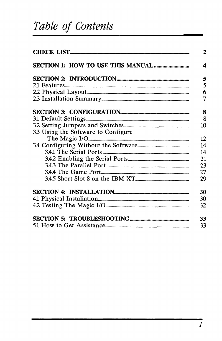## *Table of Contents*

| 3.3 Using the Software to Configure |  |
|-------------------------------------|--|
|                                     |  |
|                                     |  |
|                                     |  |
|                                     |  |
|                                     |  |
|                                     |  |
|                                     |  |
|                                     |  |
|                                     |  |
|                                     |  |
|                                     |  |
|                                     |  |
|                                     |  |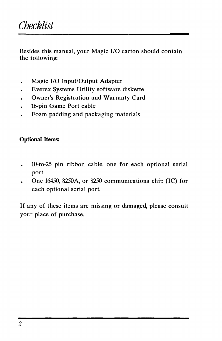Besides this manual, your Magic I/O carton should contain the following:

- Magic I/O Input/Output Adapter
- Everex Systems Utility software diskette
- Owner's Registration and Warranty Card  $\blacksquare$
- 16-pin Game Port cable
- Foam padding and packaging materials

### Optional Items:

- 10-to-25 pin ribbon cable, one for each optional serial port.
- One 16450, 8250A, or 8250 communications chip  $(IC)$  for each optional serial port.

If any of these items are missing or damaged, please consult your place of purchase.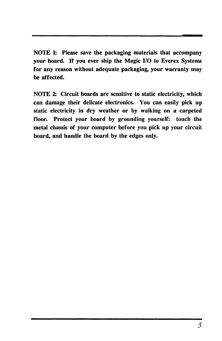NOTE 1: Please save the packaging materials that accompany your board. If you ever ship the Magic I/O to Everex Systems for any reason without adequate packaging, your warranty may be affected.

NOTE 2: Circuit boards are sensitive to static electricity, which can damage their delicate electronics. You can easily pick up static electricity in dry weather or by walking on a carpeted floor. Protect your board by grounding yourself: touch the metal chassis of your computer before you pick up your circuit board, and handle the board by the edges only.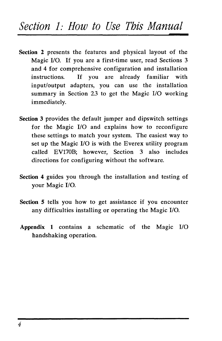- Section 2 presents the features and physical layout of the Magic I/O. If you are a first-time user, read Sections 3 and 4 for comprehensive configuration and installation instructions. If you are already familiar with input/output adapters, you can use the installation summary in Section 2.3 to get the Magic I/O working immediately.
- Section 3 provides the default jumper and dipswitch settings for the Magic I/O and explains how to reconfigure these settings to match your system. The easiest way to set up the Magic I/O is with the Everex utility program called EV170B; however, Section 3 also includes directions for configuring without the software.
- Section 4 guides you through the installation and testing of your Magic I/O.
- Section 5 tells you how to get assistance if you encounter any difficulties installing or operating the Magic I/O.
- Appendix 1 contains a schematic of the Magic  $I/O$ handshaking operation.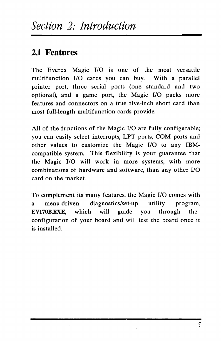## **2.1 Features**

The Everex Magic I/O is one of the most versatile multifunction I/O cards you can buy. With a parallel printer port, three serial ports (one standard and two optional), and a game port, the Magic I/O packs more features and connectors on a true five-inch short card than most full-length multifunction cards provide.

All of the functions of the Magic I/O are fully configurable; you can easily select interrupts, LPT ports, COM ports and other values to customize the Magic I/O to any IBMcompatible system. This flexibility is your guarantee that the Magic I/O will work in more systems, with more combinations of hardware and software, than any other I/O card on the market.

To complement its many features, the Magic I/O comes with a menu-driven diagnostics/set-up utility program, EV170B.EXE, which will guide you through the configuration of your board and will test the board once it is installed.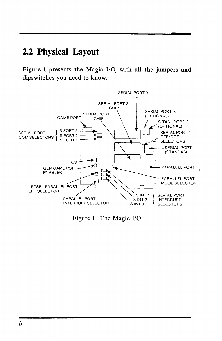## **2.2 Physical Layout**

Figure 1 presents the Magic I/O, with all the jumpers and **dipswitches you need to know.** 



Figure 1. The Magic I/O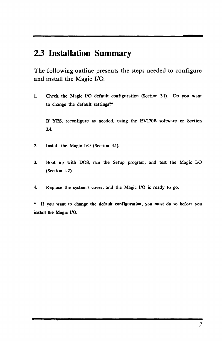### **2.3 Installation Summary**

The following outline presents the steps needed to configure and install the Magic I/O.

1. Check the Magic 1/0 default configuration (Section 3.1). Do you want to change the default settings?\*

If YES, reconfigure as needed, using the EV170B software or Section 3.4.

- 2. Install the Magic 1/0 (Section 4.1).
- 3. Boot up with DOS, run the Setup program, and test the Magic I/O (Section 4.2).
- 4. Replace the system's cover, and the Magic I/O is ready to go.

\* If you want to change the default configuration, you must do so before you install the Magic 1/0.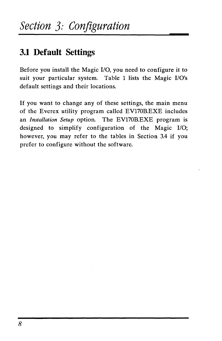## **3.1 Default Settings**

Before you install the Magic I/O, you need to configure it to suit your particular system. Table 1 lists the Magic I/O's default settings and their locations.

If you want to change any of these settings, the main menu of the Everex utility program called EV170B.EXE includes an *Installation Setup* option. The EV170B.EXE program is designed to simplify configuration of the Magic  $I/O$ ; however, you may refer to the tables in Section 3.4 if you prefer to configure without the software.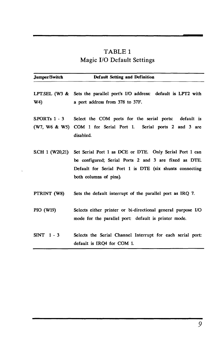### TABLE 1 Magic I/O Default Settings

| Jumper/Switch    | <b>Default Setting and Definition</b>                                                                                                                                                                 |
|------------------|-------------------------------------------------------------------------------------------------------------------------------------------------------------------------------------------------------|
| W4)              | LPT.SEL (W3 & Sets the parallel port's I/O address: default is LPT2 with<br>a port address from 378 to 37F.                                                                                           |
| $S.PORTs$ 1 - 3  | Select the COM ports for the serial ports: default is<br>(W7, W6 & W5) COM 1 for Serial Port 1. Serial ports 2 and 3 are<br>disabled.                                                                 |
| S.CH 1 (W20,21)  | Set Serial Port 1 as DCE or DTE. Only Serial Port 1 can<br>be configured; Serial Ports 2 and 3 are fixed as DTE.<br>Default for Serial Port 1 is DTE (six shunts connecting<br>both columns of pins). |
| PTRINT (W8)      | Sets the default interrupt of the parallel port as IRQ 7.                                                                                                                                             |
| <b>PIO (W19)</b> | Selects either printer or bi-directional general purpose I/O<br>mode for the parallel port: default is printer mode.                                                                                  |
| $SINT$ 1 - 3     | Selects the Serial Channel Interrupt for each serial port:<br>default is IRQ4 for COM 1.                                                                                                              |
|                  |                                                                                                                                                                                                       |

 $\overline{1}$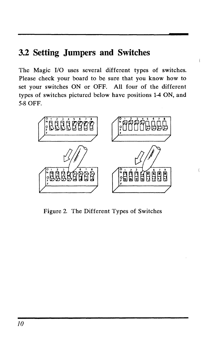## **3.2 Setting Jumpers and Switches**

The Magic I/O uses several different types of switches. Please check your board to be sure that you know how to set your switches ON or OFF. All four of the different types of switches pictured below have positions 1-4 ON, and 5-8 OFF.

 $\mathbf{r}$ 



Figure 2. The Different Types of Switches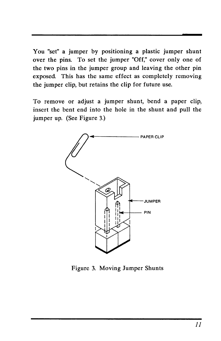You "set" a jumper by positioning a plastic jumper shunt over the pins. To set the jumper "Off," cover only one of the two pins in the jumper group and leaving the other pin exposed. This has the same effect as completely removing the jumper clip, but retains the clip for future use.

To remove or adjust a jumper shunt, bend a paper clip, insert the bent end into the hole in the shunt and pull the jumper up. (See Figure 3.)



Figure 3. Moving Jumper Shunts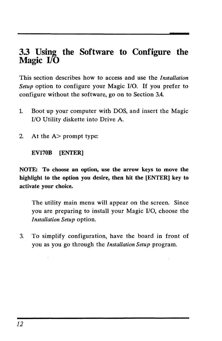### 3.3 Using the Software to Configure the Magic I/O

This section describes how to access and use the *Installation Setup* option to configure your Magic I/O. If you prefer to configure without the software, go on to Section 3.4.

- 1. Boot up your computer with DOS, and insert the Magic I/O Utility diskette into Drive A.
- 2. At the  $A >$  prompt type:

EV170B [ENTER]

NOTE: To choose an option, use the arrow keys to move the highlight to the option you desire, then hit the [ENTER] key to activate your choice.

The utility main menu will appear on the screen. Since you are preparing to install your Magic I/O, choose the *Installation Setup* option.

3. To simplify configuration, have the board in front of you as you go through the *Installation Setup* program.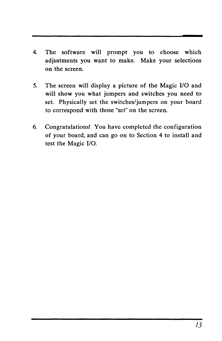- 4. The software will prompt you to choose which adjustments you want to make. Make your selections on the screen.
- 5. The screen will display a picture of the Magic I/O and will show you what jumpers and switches you need to set. Physically set the switches/jumpers on your board to correspond with those "set" on the screen.
- 6. Congratulations! You have completed the configuration of your board, and can go on to Section 4 to install and test the Magic I/O.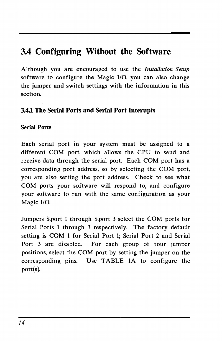## 3.4 Configuring Without the Software

Although you are encouraged to use the *Installation Setup*  software to configure the Magic 1/0, you can also change the jumper and switch settings with the information in this section.

### 3.4.1 The Serial Ports and Serial Port Interupts

### Serial Ports .

Each serial port in your system must be assigned to a different COM port, which allows the CPU to send and receive data through the serial port. Each COM port has a corresponding port address, so by selecting the COM port, you are also setting the port address. Check to see what COM ports your software will respond to, and configure your software to run with the same configuration as your Magic I/O.

Jumpers S.port 1 through S.port 3 select the COM ports for Serial Ports 1 through 3 respectively. The factory default setting is COM 1 for Serial Port 1; Serial Port 2 and Serial Port 3 are disabled. For each group of four jumper positions, select the COM port by setting the jumper on the corresponding pins. Use TABLE lA to configure the port(s).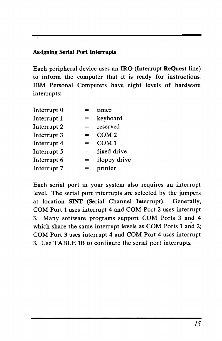### Assigning Serial Port Interrupts

Each peripheral device uses an IRQ (Interrupt ReQuest line) to inform the computer that it is ready for instructions. IBM Personal Computers have eight levels of hardware interrupts:

| Interrupt 0 |     | timer            |
|-------------|-----|------------------|
| Interrupt 1 | $=$ | keyboard         |
| Interrupt 2 | $=$ | reserved         |
| Interrupt 3 | ᆖ   | COM <sub>2</sub> |
| Interrupt 4 | $=$ | COM <sub>1</sub> |
| Interrupt 5 | $=$ | fixed drive      |
| Interrupt 6 | $=$ | floppy drive     |
| Interrupt 7 |     | printer          |

Each serial port in your system also requires an interrupt level. The serial port interrupts are selected by the jumpers at location SINT (Serial Channel Interrupt). Generally, COM Port 1 uses interrupt 4 and COM Port 2 uses interrupt 3. Many software programs support COM Ports 3 and 4 which share the same interrupt levels as COM Ports 1 and 2; COM Port 3 uses interrupt 4 and COM Port 4 uses interrupt 3. Use TABLE lB to configure the serial port interrupts.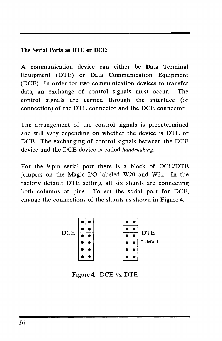### The Serial Ports as DTE or DCE:

A communication device can either be Data Terminal Equipment (DTE) or Data Communication Equipment (DCE). In order for two communication devices to transfer data, an exchange of control signals must occur. The control signals are carried through the interface (or connection) of the DTE connector and the DCE connector.

The arrangement of the control signals is predetermined and will vary depending on whether the device is DTE or DCE. The exchanging of control signals between the DTE device and the DCE device is called *handshaking.* 

For the 9-pin serial port there is a block of *DCE/DTE*  jumpers on the Magic I/O labeled W20 and W21. In the factory default DTE setting, all six shunts are connecting both columns of pins. To set the serial port for DCE, change the connections of the shunts as shown in Figure 4.



Figure 4. DCE vs. DTE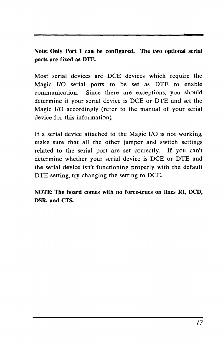Note: Only Port 1 can be configured. The two optional serial ports are fixed as DTE.

Most serial devices are DCE devices which require the Magic I/O serial ports to be set as DTE to enable communication. Since there are exceptions, you should determine if your serial device is DCE or DTE and set the Magic I/O accordingly (refer to the manual of your serial device for this information).

If a serial device attached to the Magic I/O is not working, make sure that all the other jumper and switch settings related to the serial port are set correctly. If you can't determine whether your serial device is DCE or DTE and the serial device isn't functioning properly with the default DTE setting, try changing the setting to DCE.

NOTE: The board comes with no force-trues on lines RI, DCD, DSR, and CTS.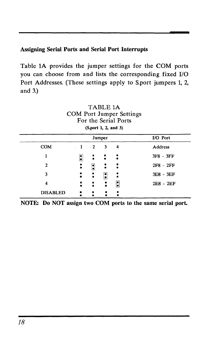### Assigning Serial Ports and Serial Port Interrupts

Table 1A provides the jumper settings for the COM ports you can choose from and lists the corresponding fixed I/O Port Addresses. (These settings apply to S.port jumpers 1, 2, and 3.)

|                 | For the serial rorts<br>(S.port 1, 2, and 3) |                     |                          |                      |           |  |  |
|-----------------|----------------------------------------------|---------------------|--------------------------|----------------------|-----------|--|--|
|                 | I/O Port<br>Jumper                           |                     |                          |                      |           |  |  |
| <b>COM</b>      | $-1$                                         | $\mathbf{2}$        | 3                        | 4                    | Address   |  |  |
| 1               | $\blacksquare$                               | ÷                   | $\mathbf{L}$             | ÷                    | 3F8 - 3FF |  |  |
| $\mathbf{2}$    | ÷                                            | g                   | ÷                        | ÷                    | 2F8 - 2FF |  |  |
| 3               | ÷                                            | ÷                   | Π                        | $\ddot{\phantom{a}}$ | 3E8 - 3EF |  |  |
| 4               | ٠<br>$\blacksquare$                          | ÷                   | $\overline{\phantom{a}}$ | 8                    | 2E8 - 2EF |  |  |
| <b>DISABLED</b> |                                              | ٠<br>$\blacksquare$ | $\blacksquare$           | ٠<br>$\blacksquare$  |           |  |  |

TABLE 1A COM Port Jumper Settings  $F = \frac{1}{2}$   $R = \frac{1}{2}$ 

NOTE: Do NOT assign two COM ports to the same serial port.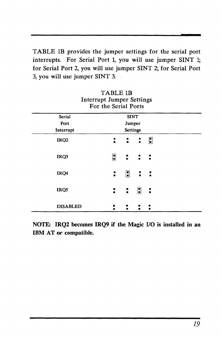TABLE 1B provides the jumper settings for the serial port interrupts. For Serial Port 1, you will use jumper SINT 1; for Serial Port 2, you will use jumper SINT 2; for Serial Port 3, you will use jumper SINT 3.

|                  | The medicing Theory  |                             |                     |                      |  |
|------------------|----------------------|-----------------------------|---------------------|----------------------|--|
| Serial           |                      | <b>SINT</b>                 |                     |                      |  |
| Port             |                      | Jumper                      |                     |                      |  |
| Interrupt        |                      | Settings                    |                     |                      |  |
| IRQ <sub>2</sub> |                      | $\mathbf{r}$ , $\mathbf{r}$ | ÷                   | $\blacksquare$       |  |
| IRQ3             | 3                    | ÷                           | $\mathbf{1}$        |                      |  |
| IRQ4             | ÷                    | E                           |                     | $\mathbf{1}$         |  |
| IRQ5             | $\ddot{\phantom{a}}$ | ÷                           | 0                   | $\ddot{\phantom{a}}$ |  |
| <b>DISABLED</b>  |                      | $\bullet$                   | ◼<br>$\blacksquare$ | ₽<br>٠               |  |

TABLE1B Interrupt Jumper Settings For the Serial Ports

NOTE: IRQ2 becomes IRQ9 if the Magic I/O is installed in an IBM AT or compatible.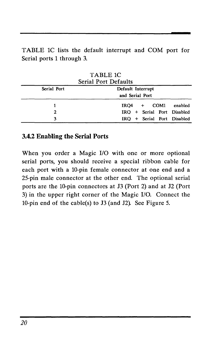TABLE 1C lists the default interrupt and COM port for Serial ports 1 through 3.

|             | TABLE IC<br><b>Serial Port Defaults</b> |
|-------------|-----------------------------------------|
| Serial Port | Default Interrupt                       |
|             | and Serial Port                         |
|             | $IRO4 + COM1$<br>enabled                |
| 2           | IRO + Serial Port Disabled              |
| 3           | IRO + Serial Port Disabled              |

## $T = T$

### **3.4.2 Enabling the Serial Ports**

When you order a Magic I/O with one or more optional serial ports, you should receive a special ribbon cable for each port with a 10-pin female connector at one end and a 25-pin male connector at the other end. The optional serial ports are the 10-pin connectors at J3 (Port 2) and at J2 (Port 3) in the upper right corner of the Magic I/O. Connect the 10-pin end of the cable(s) to J3 (and J2). See Figure 5.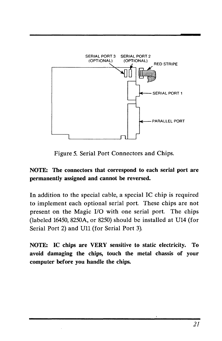

Figure 5. Serial Port Connectors and Chips.

### NOTE: The connectors that correspond to each serial port are permanently assigned and cannot be reversed.

In addition to the special cable, a special IC chip is required to implement each optional serial port. These chips are not present on the Magic I/O with one serial port. The chips (labeled 16450, 8250A, or 8250) should be installed at U14 (for Serial Port 2) and U11 (for Serial Port 3).

NOTE: IC chips are VERY sensitive to static electricity. To avoid damaging the chips, touch the metal chassis of your computer before you handle the chips.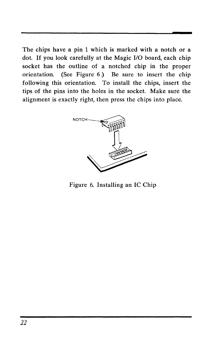The chips have a pin 1 which is marked with a notch or a dot. If you look carefully at the Magic I/O board, each chip socket has the outline of a notched chip in the proper orientation. (See Figure 6.) Be sure to insert the chip following this orientation. To install the chips, insert the tips of the pins into the holes in the socket. Make sure the alignment is exactly right, then press the chips into place.



Figure 6. Installing an IC Chip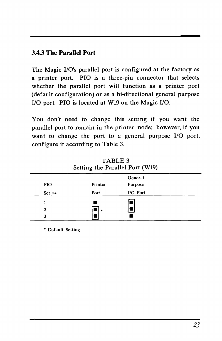### **3.4.3 The Parallel Port**

The Magic I/O's parallel port is configured at the factory as a printer port. PIO is a three-pin connector that selects whether the parallel port will function as a printer port (default configuration) or as a bi-directional general purpose I/O port. PIO is located at W19 on the Magic 1/0.

You don't need to change this setting if you want the parallel port to remain in the printer mode; however, if you want to change the port to a general purpose  $I/O$  port, configure it according to Table 3.

|              |         | General  |  |
|--------------|---------|----------|--|
| <b>PIO</b>   | Printer | Purpose  |  |
| Set as       | Port    | I/O Port |  |
|              |         |          |  |
| $\mathbf{2}$ |         |          |  |
| 3            |         |          |  |

TABLE 3 Setting the Parallel Port (W19)

• Default Setting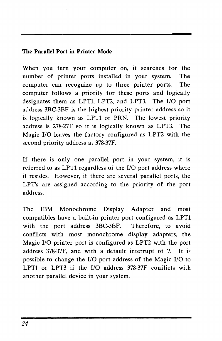### **The Parallel Port in Printer Mode**

When you turn your computer on, it searches for the number of printer ports installed in your system. The computer can recognize up to three printer ports. The computer follows a priority for these ports and logically designates them as LPT1, LPT2, and LPT3. The I/O port address 3BC-3BF is the highest priority printer address so it is logically known as LPTl or PRN. The lowest priority address is 278-27F so it is logically known as LPT3. The Magic I/O leaves the factory configured as LPT2 with the second priority address at 378-37F.

If there is only one parallel port in your system, it is referred to as LPTl regardless of the I/O port address where it resides. However, if there are several parallel ports, the LPT's are assigned according to the priority of the port address.

The IBM Monochrome Display Adapter and most compatibles have a built-in printer port configured as LPTl with the port address 3BC-3BF. Therefore, to avoid conflicts with most monochrome display adapters, the Magic I/O printer port is configured as LPT2 with the port address 378-37F, and with a default interrupt of 7. It is possible to change the  $I/O$  port address of the Magic  $I/O$  to LPTl or LPT3 if the I/O address 378-37F conflicts with another parallel device in your system.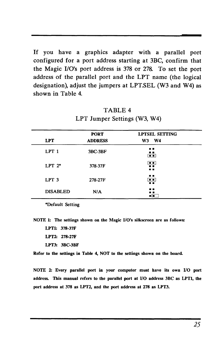If you have a graphics adapter with a parallel port configured for a port address starting at 3BC, confirm that the Magic I/O's port address is 378 or 278. To set the port address of the parallel port and the LPT name (the logical designation), adjust the jumpers at LPT.SEL (W3 and W4) as shown in Table 4.

| <b>LPT</b>       | <b>PORT</b><br><b>ADDRESS</b> | LPTSEL SETTING<br>W <sub>4</sub><br>W <sub>3</sub> |
|------------------|-------------------------------|----------------------------------------------------|
| LPT <sub>1</sub> | $3BC-3BF$                     | . .<br><br>$\bullet$ .                             |
| $LPT$ $2^*$      | 378-37F                       | <b>. .</b><br>. .<br>. .                           |
| LPT <sub>3</sub> | 278-27F                       | . .<br>$\bullet$ $\bullet$<br>. .                  |
| <b>DISABLED</b>  | N/A                           | . .<br>. .<br>80.                                  |

### TABLE 4 LPT Jumper Settings (W3, W4)

·Default Setting

NOTE 1: The settings shown on the Magic I/O's silkscreen are as follows: LPT1: 378-37F LPT2: 278-27F LPT3: 3BC-3BF

Refer to the settings in Table 4, NOT to the settings shown on the board.

NOTE 2: Every parallel port in your computer must have its own I/O port address. This manual refers to the parallel port at  $I/O$  address  $3BC$  as  $LPT1$ , the port address at 378 as LPT2, and the port address at 278 as LPT3.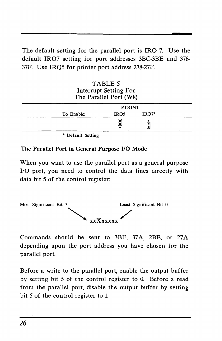The default setting for the parallel port is IRQ 7. Use the default IRQ7 setting for port addresses 3BC-3BE and 378- 37F. Use IRQ5 for printer port address 278-27F.

#### TABLE 5 Interrupt Setting For The Parallel Port (W8)

|            | <b>PTRINT</b> |         |  |  |  |  |
|------------|---------------|---------|--|--|--|--|
| To Enable: | IRQ5          | $IRQ7*$ |  |  |  |  |
|            |               | L.      |  |  |  |  |
| .          |               |         |  |  |  |  |

• Default Setting

### The Parallel Port in General Purpose 1/0 Mode

When you want to use the parallel port as a general purpose I/O port, you need to control the data lines directly with data bit 5 of the control register:



Commands should be sent to 3BE, 37A, 2BE, or 27A depending upon the port address you have chosen for the parallel port.

Before a write to the parallel port, enable the output buffer by setting bit 5 of the control register to O. Before a read from the parallel port, disable the output buffer by setting bit 5 of the control register to 1.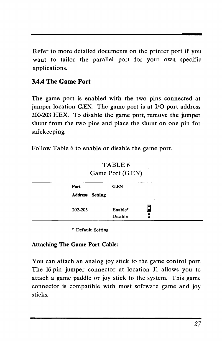Refer to more detailed documents on the printer port if you want to tailor the parallel port for your own specific applications.

### 3.4.4 The Game Port

The game port is enabled with the two pins connected at jumper location G.EN. The game port is at  $I/O$  port address 200-203 HEX. To disable the game port, remove the jumper shunt from the two pins and place the shunt on one pin for safekeeping.

Follow Table 6 to enable or disable the game port.

| Port                   | <b>G.EN</b> |   |  |
|------------------------|-------------|---|--|
| <b>Address Setting</b> |             |   |  |
| 202-203                | Enable*     | ▣ |  |
|                        | Disable     |   |  |

### TABLE 6 Game Port (G.EN)

• Default Setting

### Attaching The Game Port Cable:

You can attach an analog joy stick to the game control port. The 16-pin jumper connector at location Jl allows you to attach a game paddle or joy stick to the system. This game connector is compatible with most software game and joy sticks.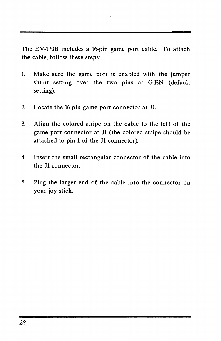The EV-170B includes a 16-pin game port cable. To attach the cable, follow these steps:

- 1. Make sure the game port is enabled with the jumper shunt setting over the two pins at G.EN (default setting).
- 2. Locate the 16-pin game port connector at 11.
- 3. Align the colored stripe on the cable to the left of the game port connector at 11 (the colored stripe should be attached to pin 1 of the 11 connector).
- 4. Insert the small rectangular connector of the cable into the 11 connector.
- 5. Plug the larger end of the cable into the connector on your joy stick.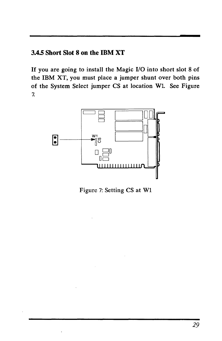### 3.4.5 Short Slot 8 on the IBM XT

If you are going to install the Magic 1/0 into short slot 8 of the IBM XT, you must place a jumper shunt over both pins of the System Select jumper CS at location WL See Figure 7.



Figure 7: Setting CS at Wl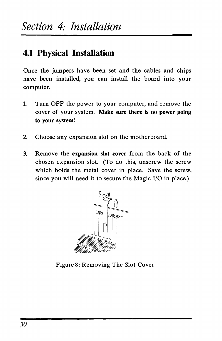## **4.1 Physical Installation**

Once the jumpers have been set and the cables and chips have been installed, you can install the board into your computer.

- 1. Turn OFF the power to your computer, and remove the cover of your system. Make sure there is no power going to your system!
- 2. Choose any expansion slot on the motherboard.
- 3. Remove the expansion slot cover from the back of the chosen expansion slot. (To do this, unscrew the screw which holds the metal cover in place. Save the screw, since you will need it to secure the Magic I/O in place.)



Figure 8: Removing The Slot Cover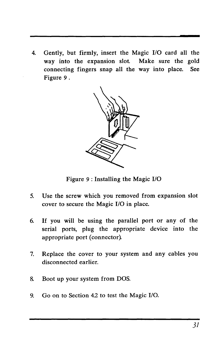4. Gently, but firmly, insert the Magic I/O card all the way into the expansion slot. Make sure the gold connecting fingers snap all the way into place. See Figure 9 .

![](_page_35_Picture_1.jpeg)

Figure  $9:$  Installing the Magic I/O

- 5. Use the screw which you removed from expansion slot cover to secure the Magic I/O in place.
- 6. If you will be using the parallel port or any of the serial ports, plug the appropriate device into the appropriate port (connector).
- 7. Replace the cover to your system and any cables you disconnected earlier.
- 8. Boot up your system from DOS.
- 9. Go on to Section 4.2 to test the Magic I/O.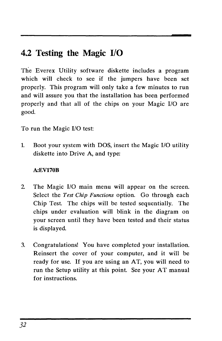## **4.2 Testing the Magic 1/0**

The Everex Utility software diskette includes a program which will check to see if the jumpers have been set properly. This program will only take a few minutes to run and will assure you that the installation has been performed properly and that all of the chips on your Magic I/O are good.

To run the Magic I/O test:

1. Boot your system with DOS, insert the Magic I/O utility diskette into Drive A, and type:

### A:EV170B

- 2. The Magic I/O main menu will appear on the screen. Select the *Test Chip Functions* option. Go through each Chip Test. The chips will be tested sequentially. The chips under evaluation will blink in the diagram on your screen until they have been tested and their status is displayed.
- 3. Congratulations! You have completed your installation. Reinsert the cover of your computer, and it will be ready for use. If you are using an AT, you will need to run the Setup utility at this point. See your AT manual for instructions.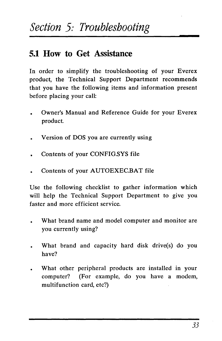### **5.1 How to Get Assistance**

In order to simplify the troubleshooting of your Everex product, the Technical Support Department recommends that you have the following items and information present before placing your call:

- Owner's Manual and Reference Guide for your Everex product.
- Version of DOS you are currently using
- Contents of your CONFIG.SYS file
- Contents of your AUTOEXEC.BAT file

Use the following checklist to gather information which will help the Technical Support Department to give you faster and more efficient service.

- What brand name and model computer and monitor are you currently using?
- What brand and capacity hard disk drive(s) do you have?
- What other peripheral products are installed in your computer? (For example, do you have a modem, multifunction card, etc?)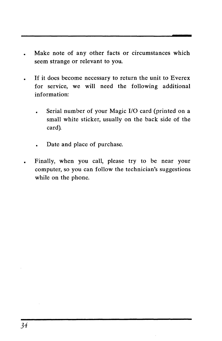- Make note of any other facts or circumstances which seem strange or relevant to you.
- If it does become necessary to return the unit to Everex for service, we will need the following additional information:
	- Serial number of your Magic I/O card (printed on a  $\bullet$ small white sticker, usually on the back side of the card).
	- Date and place of purchase.
- Finally, when you call, please try to be near your computer, so you can follow the technician's suggestions while on the phone.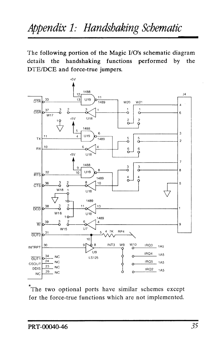**The following portion of the Magic I/O's schematic diagram details the handshaking functions performed by the DTE/DCE and force-true jumpers.** 

![](_page_39_Figure_2.jpeg)

\* **The two optional ports have similar schemes except for the force-true functions which are not implemented.**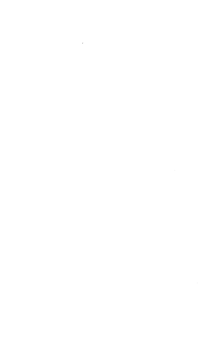$\label{eq:2.1} \mathcal{L}(\mathcal{L}) = \mathcal{L}(\mathcal{L}) \mathcal{L}(\mathcal{L})$